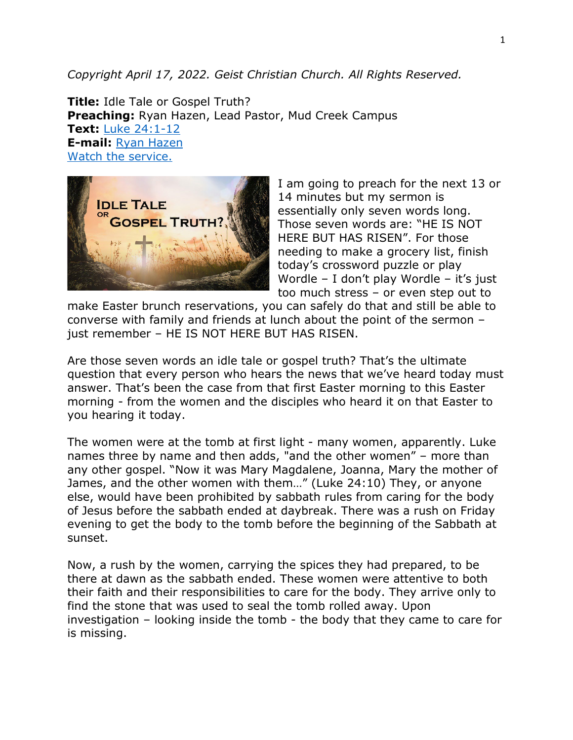## *Copyright April 17, 2022. Geist Christian Church. All Rights Reserved.*

**Title:** Idle Tale or Gospel Truth? **Preaching:** Ryan Hazen, Lead Pastor, Mud Creek Campus **Text:** [Luke 24:1-12](https://www.biblegateway.com/passage/?search=Luke+24%3A1-12&version=NRSV) **E-mail:** [Ryan Hazen](mailto:ryan.hazen@geistchristian.org) [Watch the service.](https://youtu.be/zVoktW5zeO8)



I am going to preach for the next 13 or 14 minutes but my sermon is essentially only seven words long. Those seven words are: "HE IS NOT HERE BUT HAS RISEN". For those needing to make a grocery list, finish today's crossword puzzle or play Wordle – I don't play Wordle – it's just too much stress – or even step out to

make Easter brunch reservations, you can safely do that and still be able to converse with family and friends at lunch about the point of the sermon – just remember – HE IS NOT HERE BUT HAS RISEN.

Are those seven words an idle tale or gospel truth? That's the ultimate question that every person who hears the news that we've heard today must answer. That's been the case from that first Easter morning to this Easter morning - from the women and the disciples who heard it on that Easter to you hearing it today.

The women were at the tomb at first light - many women, apparently. Luke names three by name and then adds, "and the other women" – more than any other gospel. "Now it was Mary Magdalene, Joanna, Mary the mother of James, and the other women with them…" (Luke 24:10) They, or anyone else, would have been prohibited by sabbath rules from caring for the body of Jesus before the sabbath ended at daybreak. There was a rush on Friday evening to get the body to the tomb before the beginning of the Sabbath at sunset.

Now, a rush by the women, carrying the spices they had prepared, to be there at dawn as the sabbath ended. These women were attentive to both their faith and their responsibilities to care for the body. They arrive only to find the stone that was used to seal the tomb rolled away. Upon investigation – looking inside the tomb - the body that they came to care for is missing.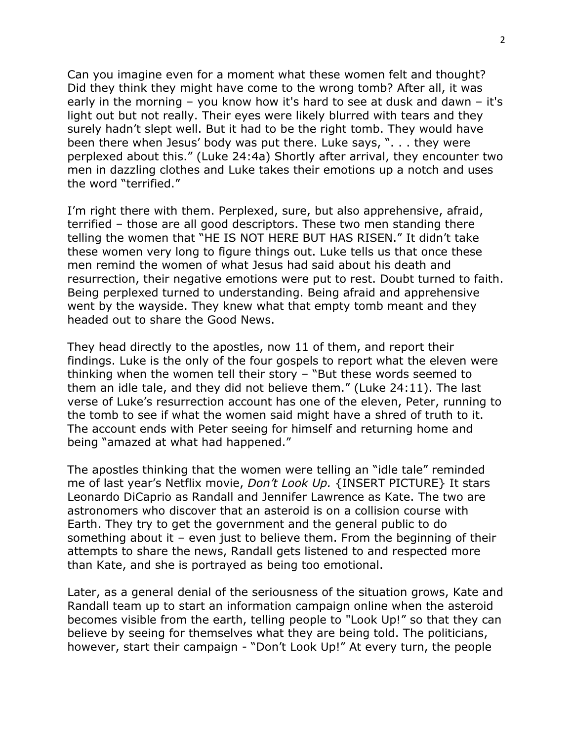Can you imagine even for a moment what these women felt and thought? Did they think they might have come to the wrong tomb? After all, it was early in the morning – you know how it's hard to see at dusk and dawn – it's light out but not really. Their eyes were likely blurred with tears and they surely hadn't slept well. But it had to be the right tomb. They would have been there when Jesus' body was put there. Luke says, ". . . they were perplexed about this." (Luke 24:4a) Shortly after arrival, they encounter two men in dazzling clothes and Luke takes their emotions up a notch and uses the word "terrified."

I'm right there with them. Perplexed, sure, but also apprehensive, afraid, terrified – those are all good descriptors. These two men standing there telling the women that "HE IS NOT HERE BUT HAS RISEN." It didn't take these women very long to figure things out. Luke tells us that once these men remind the women of what Jesus had said about his death and resurrection, their negative emotions were put to rest. Doubt turned to faith. Being perplexed turned to understanding. Being afraid and apprehensive went by the wayside. They knew what that empty tomb meant and they headed out to share the Good News.

They head directly to the apostles, now 11 of them, and report their findings. Luke is the only of the four gospels to report what the eleven were thinking when the women tell their story – "But these words seemed to them an idle tale, and they did not believe them." (Luke 24:11). The last verse of Luke's resurrection account has one of the eleven, Peter, running to the tomb to see if what the women said might have a shred of truth to it. The account ends with Peter seeing for himself and returning home and being "amazed at what had happened."

The apostles thinking that the women were telling an "idle tale" reminded me of last year's Netflix movie, *Don't Look Up.* {INSERT PICTURE} It stars Leonardo DiCaprio as Randall and Jennifer Lawrence as Kate. The two are astronomers who discover that an asteroid is on a collision course with Earth. They try to get the government and the general public to do something about it – even just to believe them. From the beginning of their attempts to share the news, Randall gets listened to and respected more than Kate, and she is portrayed as being too emotional.

Later, as a general denial of the seriousness of the situation grows, Kate and Randall team up to start an information campaign online when the asteroid becomes visible from the earth, telling people to "Look Up!" so that they can believe by seeing for themselves what they are being told. The politicians, however, start their campaign - "Don't Look Up!" At every turn, the people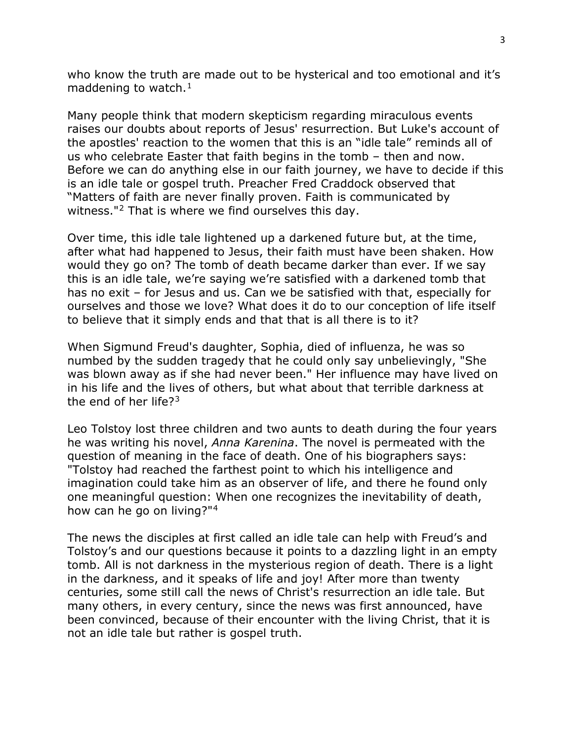who know the truth are made out to be hysterical and too emotional and it's maddening to watch. $<sup>1</sup>$  $<sup>1</sup>$  $<sup>1</sup>$ </sup>

Many people think that modern skepticism regarding miraculous events raises our doubts about reports of Jesus' resurrection. But Luke's account of the apostles' reaction to the women that this is an "idle tale" reminds all of us who celebrate Easter that faith begins in the tomb – then and now. Before we can do anything else in our faith journey, we have to decide if this is an idle tale or gospel truth. Preacher Fred Craddock observed that "Matters of faith are never finally proven. Faith is communicated by witness."[2](#page-4-1) That is where we find ourselves this day.

Over time, this idle tale lightened up a darkened future but, at the time, after what had happened to Jesus, their faith must have been shaken. How would they go on? The tomb of death became darker than ever. If we say this is an idle tale, we're saying we're satisfied with a darkened tomb that has no exit – for Jesus and us. Can we be satisfied with that, especially for ourselves and those we love? What does it do to our conception of life itself to believe that it simply ends and that that is all there is to it?

When Sigmund Freud's daughter, Sophia, died of influenza, he was so numbed by the sudden tragedy that he could only say unbelievingly, "She was blown away as if she had never been." Her influence may have lived on in his life and the lives of others, but what about that terrible darkness at the end of her life?[3](#page-4-2)

Leo Tolstoy lost three children and two aunts to death during the four years he was writing his novel, *Anna Karenina*. The novel is permeated with the question of meaning in the face of death. One of his biographers says: "Tolstoy had reached the farthest point to which his intelligence and imagination could take him as an observer of life, and there he found only one meaningful question: When one recognizes the inevitability of death, how can he go on living?"[4](#page-4-3)

The news the disciples at first called an idle tale can help with Freud's and Tolstoy's and our questions because it points to a dazzling light in an empty tomb. All is not darkness in the mysterious region of death. There is a light in the darkness, and it speaks of life and joy! After more than twenty centuries, some still call the news of Christ's resurrection an idle tale. But many others, in every century, since the news was first announced, have been convinced, because of their encounter with the living Christ, that it is not an idle tale but rather is gospel truth.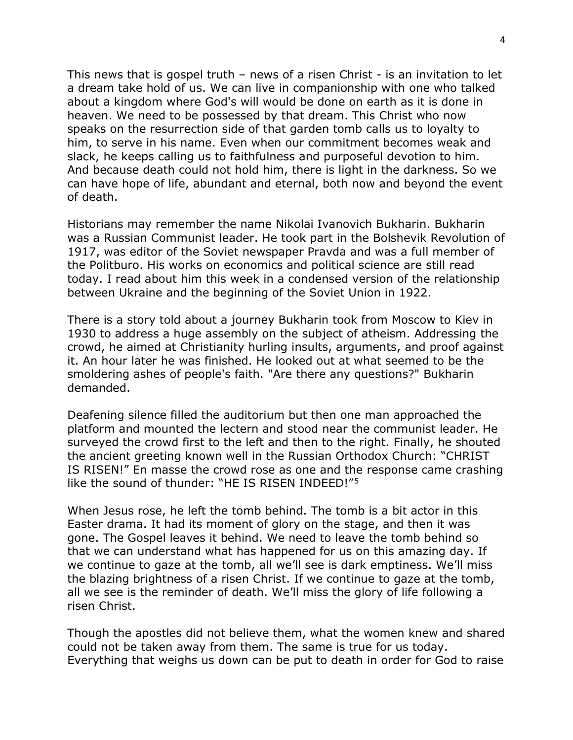This news that is gospel truth – news of a risen Christ - is an invitation to let a dream take hold of us. We can live in companionship with one who talked about a kingdom where God's will would be done on earth as it is done in heaven. We need to be possessed by that dream. This Christ who now speaks on the resurrection side of that garden tomb calls us to loyalty to him, to serve in his name. Even when our commitment becomes weak and slack, he keeps calling us to faithfulness and purposeful devotion to him. And because death could not hold him, there is light in the darkness. So we can have hope of life, abundant and eternal, both now and beyond the event of death.

Historians may remember the name Nikolai Ivanovich Bukharin. Bukharin was a Russian Communist leader. He took part in the Bolshevik Revolution of 1917, was editor of the Soviet newspaper Pravda and was a full member of the Politburo. His works on economics and political science are still read today. I read about him this week in a condensed version of the relationship between Ukraine and the beginning of the Soviet Union in 1922.

There is a story told about a journey Bukharin took from Moscow to Kiev in 1930 to address a huge assembly on the subject of atheism. Addressing the crowd, he aimed at Christianity hurling insults, arguments, and proof against it. An hour later he was finished. He looked out at what seemed to be the smoldering ashes of people's faith. "Are there any questions?" Bukharin demanded.

Deafening silence filled the auditorium but then one man approached the platform and mounted the lectern and stood near the communist leader. He surveyed the crowd first to the left and then to the right. Finally, he shouted the ancient greeting known well in the Russian Orthodox Church: "CHRIST IS RISEN!" En masse the crowd rose as one and the response came crashing like the sound of thunder: "HE IS RISEN INDEED!"[5](#page-4-4)

When Jesus rose, he left the tomb behind. The tomb is a bit actor in this Easter drama. It had its moment of glory on the stage, and then it was gone. The Gospel leaves it behind. We need to leave the tomb behind so that we can understand what has happened for us on this amazing day. If we continue to gaze at the tomb, all we'll see is dark emptiness. We'll miss the blazing brightness of a risen Christ. If we continue to gaze at the tomb, all we see is the reminder of death. We'll miss the glory of life following a risen Christ.

Though the apostles did not believe them, what the women knew and shared could not be taken away from them. The same is true for us today. Everything that weighs us down can be put to death in order for God to raise